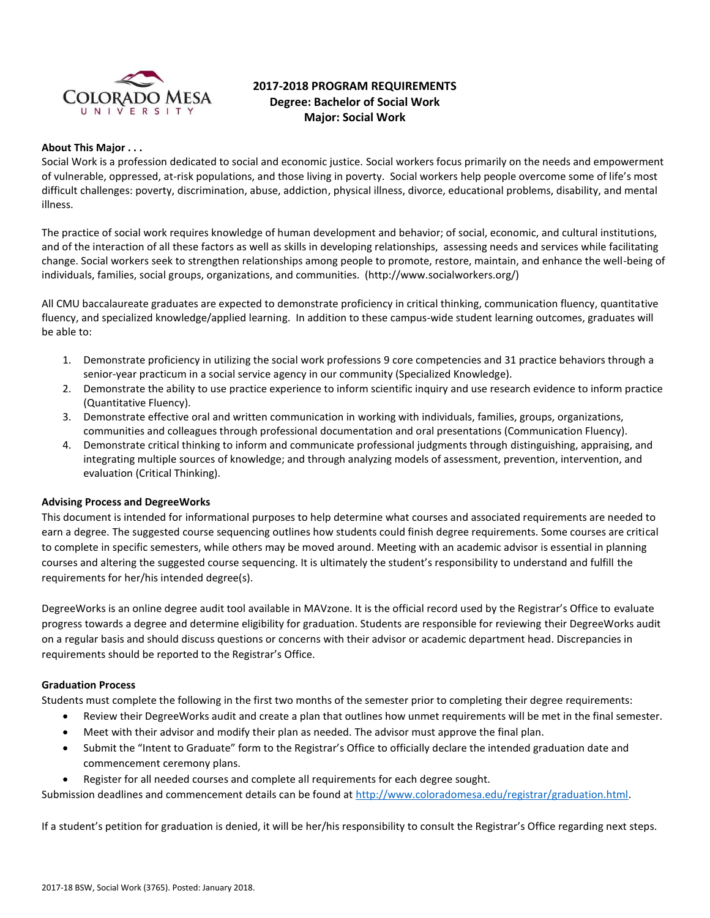

# **2017-2018 PROGRAM REQUIREMENTS Degree: Bachelor of Social Work Major: Social Work**

#### **About This Major . . .**

Social Work is a profession dedicated to social and economic justice. Social workers focus primarily on the needs and empowerment of vulnerable, oppressed, at-risk populations, and those living in poverty. Social workers help people overcome some of life's most difficult challenges: poverty, discrimination, abuse, addiction, physical illness, divorce, educational problems, disability, and mental illness.

The practice of social work requires knowledge of human development and behavior; of social, economic, and cultural institutions, and of the interaction of all these factors as well as skills in developing relationships, assessing needs and services while facilitating change. Social workers seek to strengthen relationships among people to promote, restore, maintain, and enhance the well-being of individuals, families, social groups, organizations, and communities. (http://www.socialworkers.org/)

All CMU baccalaureate graduates are expected to demonstrate proficiency in critical thinking, communication fluency, quantitative fluency, and specialized knowledge/applied learning. In addition to these campus-wide student learning outcomes, graduates will be able to:

- 1. Demonstrate proficiency in utilizing the social work professions 9 core competencies and 31 practice behaviors through a senior-year practicum in a social service agency in our community (Specialized Knowledge).
- 2. Demonstrate the ability to use practice experience to inform scientific inquiry and use research evidence to inform practice (Quantitative Fluency).
- 3. Demonstrate effective oral and written communication in working with individuals, families, groups, organizations, communities and colleagues through professional documentation and oral presentations (Communication Fluency).
- 4. Demonstrate critical thinking to inform and communicate professional judgments through distinguishing, appraising, and integrating multiple sources of knowledge; and through analyzing models of assessment, prevention, intervention, and evaluation (Critical Thinking).

#### **Advising Process and DegreeWorks**

This document is intended for informational purposes to help determine what courses and associated requirements are needed to earn a degree. The suggested course sequencing outlines how students could finish degree requirements. Some courses are critical to complete in specific semesters, while others may be moved around. Meeting with an academic advisor is essential in planning courses and altering the suggested course sequencing. It is ultimately the student's responsibility to understand and fulfill the requirements for her/his intended degree(s).

DegreeWorks is an online degree audit tool available in MAVzone. It is the official record used by the Registrar's Office to evaluate progress towards a degree and determine eligibility for graduation. Students are responsible for reviewing their DegreeWorks audit on a regular basis and should discuss questions or concerns with their advisor or academic department head. Discrepancies in requirements should be reported to the Registrar's Office.

#### **Graduation Process**

Students must complete the following in the first two months of the semester prior to completing their degree requirements:

- Review their DegreeWorks audit and create a plan that outlines how unmet requirements will be met in the final semester.
- Meet with their advisor and modify their plan as needed. The advisor must approve the final plan.
- Submit the "Intent to Graduate" form to the Registrar's Office to officially declare the intended graduation date and commencement ceremony plans.
- Register for all needed courses and complete all requirements for each degree sought.

Submission deadlines and commencement details can be found at [http://www.coloradomesa.edu/registrar/graduation.html.](http://www.coloradomesa.edu/registrar/graduation.html)

If a student's petition for graduation is denied, it will be her/his responsibility to consult the Registrar's Office regarding next steps.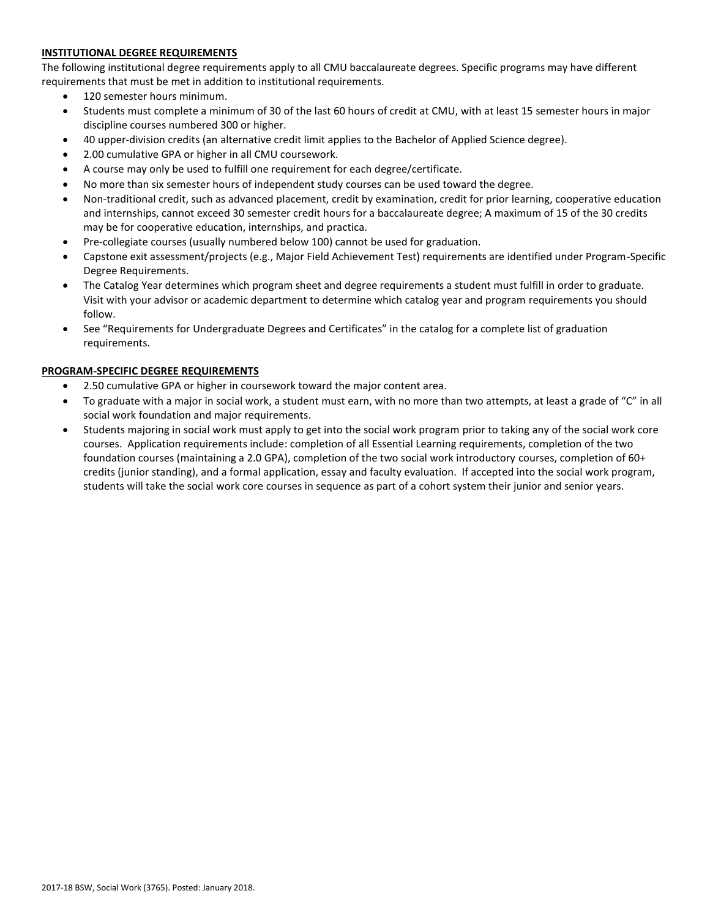# **INSTITUTIONAL DEGREE REQUIREMENTS**

The following institutional degree requirements apply to all CMU baccalaureate degrees. Specific programs may have different requirements that must be met in addition to institutional requirements.

- 120 semester hours minimum.
- Students must complete a minimum of 30 of the last 60 hours of credit at CMU, with at least 15 semester hours in major discipline courses numbered 300 or higher.
- 40 upper-division credits (an alternative credit limit applies to the Bachelor of Applied Science degree).
- 2.00 cumulative GPA or higher in all CMU coursework.
- A course may only be used to fulfill one requirement for each degree/certificate.
- No more than six semester hours of independent study courses can be used toward the degree.
- Non-traditional credit, such as advanced placement, credit by examination, credit for prior learning, cooperative education and internships, cannot exceed 30 semester credit hours for a baccalaureate degree; A maximum of 15 of the 30 credits may be for cooperative education, internships, and practica.
- Pre-collegiate courses (usually numbered below 100) cannot be used for graduation.
- Capstone exit assessment/projects (e.g., Major Field Achievement Test) requirements are identified under Program-Specific Degree Requirements.
- The Catalog Year determines which program sheet and degree requirements a student must fulfill in order to graduate. Visit with your advisor or academic department to determine which catalog year and program requirements you should follow.
- See "Requirements for Undergraduate Degrees and Certificates" in the catalog for a complete list of graduation requirements.

# **PROGRAM-SPECIFIC DEGREE REQUIREMENTS**

- 2.50 cumulative GPA or higher in coursework toward the major content area.
- To graduate with a major in social work, a student must earn, with no more than two attempts, at least a grade of "C" in all social work foundation and major requirements.
- Students majoring in social work must apply to get into the social work program prior to taking any of the social work core courses. Application requirements include: completion of all Essential Learning requirements, completion of the two foundation courses (maintaining a 2.0 GPA), completion of the two social work introductory courses, completion of 60+ credits (junior standing), and a formal application, essay and faculty evaluation. If accepted into the social work program, students will take the social work core courses in sequence as part of a cohort system their junior and senior years.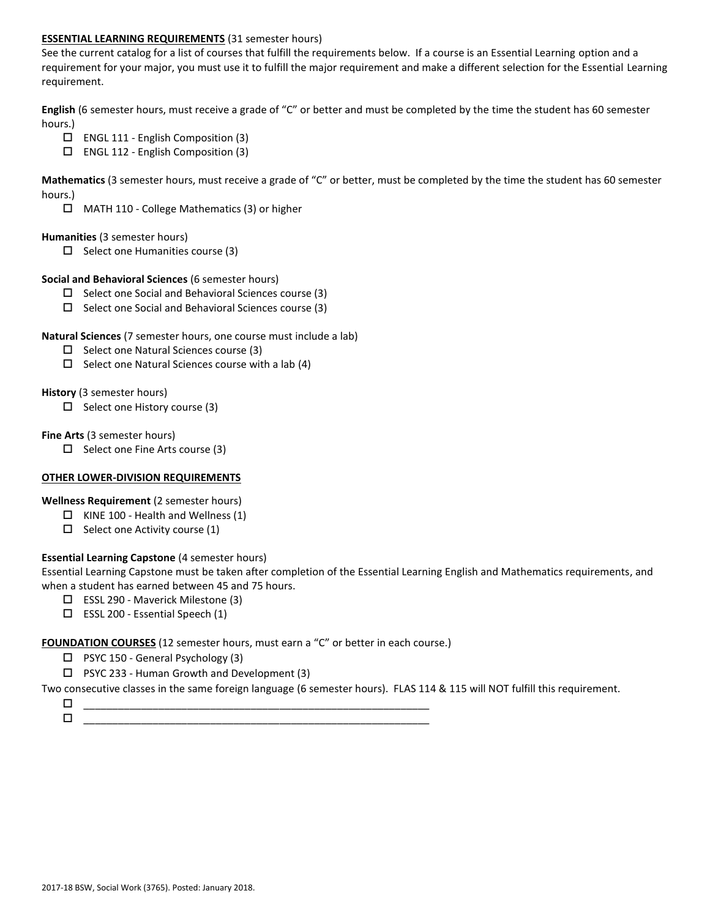## **ESSENTIAL LEARNING REQUIREMENTS** (31 semester hours)

See the current catalog for a list of courses that fulfill the requirements below. If a course is an Essential Learning option and a requirement for your major, you must use it to fulfill the major requirement and make a different selection for the Essential Learning requirement.

**English** (6 semester hours, must receive a grade of "C" or better and must be completed by the time the student has 60 semester hours.)

- ENGL 111 English Composition (3)
- ENGL 112 English Composition (3)

**Mathematics** (3 semester hours, must receive a grade of "C" or better, must be completed by the time the student has 60 semester hours.)

MATH 110 - College Mathematics (3) or higher

#### **Humanities** (3 semester hours)

 $\Box$  Select one Humanities course (3)

## **Social and Behavioral Sciences** (6 semester hours)

- $\Box$  Select one Social and Behavioral Sciences course (3)
- $\square$  Select one Social and Behavioral Sciences course (3)

## **Natural Sciences** (7 semester hours, one course must include a lab)

- $\square$  Select one Natural Sciences course (3)
- $\Box$  Select one Natural Sciences course with a lab (4)

## **History** (3 semester hours)

 $\Box$  Select one History course (3)

## **Fine Arts** (3 semester hours)

 $\Box$  Select one Fine Arts course (3)

# **OTHER LOWER-DIVISION REQUIREMENTS**

**Wellness Requirement** (2 semester hours)

- $\Box$  KINE 100 Health and Wellness (1)
- $\Box$  Select one Activity course (1)

# **Essential Learning Capstone** (4 semester hours)

Essential Learning Capstone must be taken after completion of the Essential Learning English and Mathematics requirements, and when a student has earned between 45 and 75 hours.

- ESSL 290 Maverick Milestone (3)
- $\square$  ESSL 200 Essential Speech (1)

**FOUNDATION COURSES** (12 semester hours, must earn a "C" or better in each course.)

- $\Box$  PSYC 150 General Psychology (3)
- $\Box$  PSYC 233 Human Growth and Development (3)

Two consecutive classes in the same foreign language (6 semester hours). FLAS 114 & 115 will NOT fulfill this requirement.

 \_\_\_\_\_\_\_\_\_\_\_\_\_\_\_\_\_\_\_\_\_\_\_\_\_\_\_\_\_\_\_\_\_\_\_\_\_\_\_\_\_\_\_\_\_\_\_\_\_\_\_\_\_\_\_\_\_\_\_\_  $\Box$   $\underline{\hspace{1cm}}$   $\underline{\hspace{1cm}}$   $\underline{\hspace{1cm}}$   $\underline{\hspace{1cm}}$   $\overline{\hspace{1cm}}$   $\overline{\hspace{1cm}}$   $\overline{\hspace{1cm}}$   $\overline{\hspace{1cm}}$   $\overline{\hspace{1cm}}$   $\overline{\hspace{1cm}}$   $\overline{\hspace{1cm}}$   $\overline{\hspace{1cm}}$   $\overline{\hspace{1cm}}$   $\overline{\hspace{1cm}}$   $\overline{\hspace{1cm}}$   $\overline{\hspace{1cm}}$   $\overline{\hspace{1$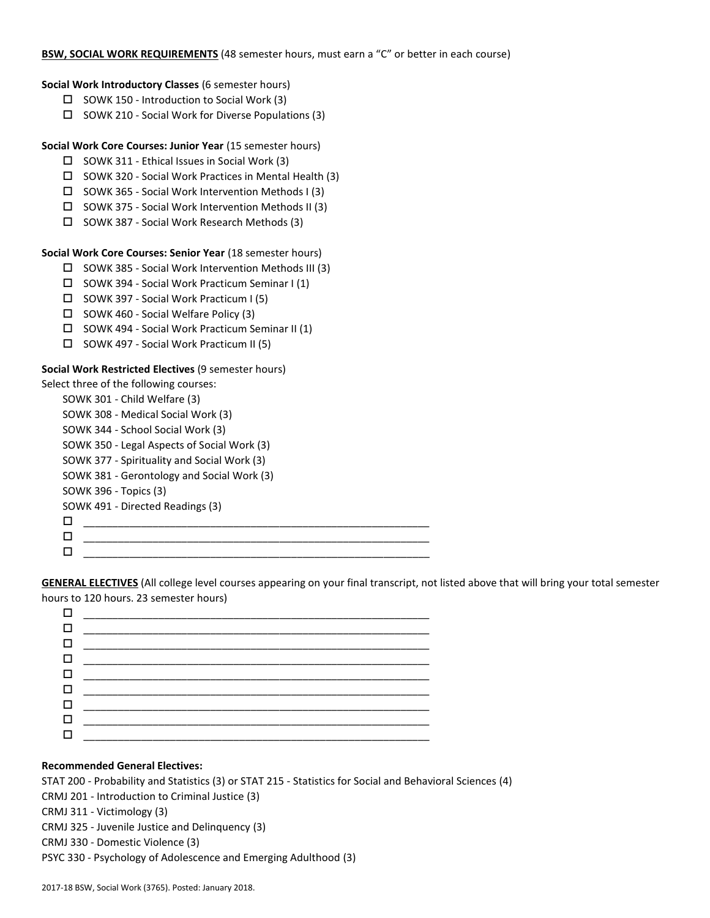# **BSW, SOCIAL WORK REQUIREMENTS** (48 semester hours, must earn a "C" or better in each course)

# **Social Work Introductory Classes** (6 semester hours)

- $\Box$  SOWK 150 Introduction to Social Work (3)
- $\square$  SOWK 210 Social Work for Diverse Populations (3)

**Social Work Core Courses: Junior Year** (15 semester hours)

- $\square$  SOWK 311 Ethical Issues in Social Work (3)
- SOWK 320 Social Work Practices in Mental Health (3)
- $\square$  SOWK 365 Social Work Intervention Methods I (3)
- $\square$  SOWK 375 Social Work Intervention Methods II (3)
- □ SOWK 387 Social Work Research Methods (3)

**Social Work Core Courses: Senior Year** (18 semester hours)

- SOWK 385 Social Work Intervention Methods III (3)
- $\square$  SOWK 394 Social Work Practicum Seminar I (1)
- □ SOWK 397 Social Work Practicum I (5)
- $\Box$  SOWK 460 Social Welfare Policy (3)
- $\square$  SOWK 494 Social Work Practicum Seminar II (1)
- SOWK 497 Social Work Practicum II (5)

## **Social Work Restricted Electives** (9 semester hours)

Select three of the following courses:

| SOWK 301 - Child Welfare (3)                |  |  |  |
|---------------------------------------------|--|--|--|
| SOWK 308 - Medical Social Work (3)          |  |  |  |
| SOWK 344 - School Social Work (3)           |  |  |  |
| SOWK 350 - Legal Aspects of Social Work (3) |  |  |  |
| SOWK 377 - Spirituality and Social Work (3) |  |  |  |
| SOWK 381 - Gerontology and Social Work (3)  |  |  |  |
| SOWK 396 - Topics (3)                       |  |  |  |
| SOWK 491 - Directed Readings (3)            |  |  |  |
| П                                           |  |  |  |
| п                                           |  |  |  |
|                                             |  |  |  |

**GENERAL ELECTIVES** (All college level courses appearing on your final transcript, not listed above that will bring your total semester hours to 120 hours. 23 semester hours)

|   | <b>O</b> ___________________________ |  |
|---|--------------------------------------|--|
|   |                                      |  |
|   |                                      |  |
| п |                                      |  |

# **Recommended General Electives:**

STAT 200 - Probability and Statistics (3) or STAT 215 - Statistics for Social and Behavioral Sciences (4) CRMJ 201 - Introduction to Criminal Justice (3) CRMJ 311 - Victimology (3) CRMJ 325 - Juvenile Justice and Delinquency (3) CRMJ 330 - Domestic Violence (3)

PSYC 330 - Psychology of Adolescence and Emerging Adulthood (3)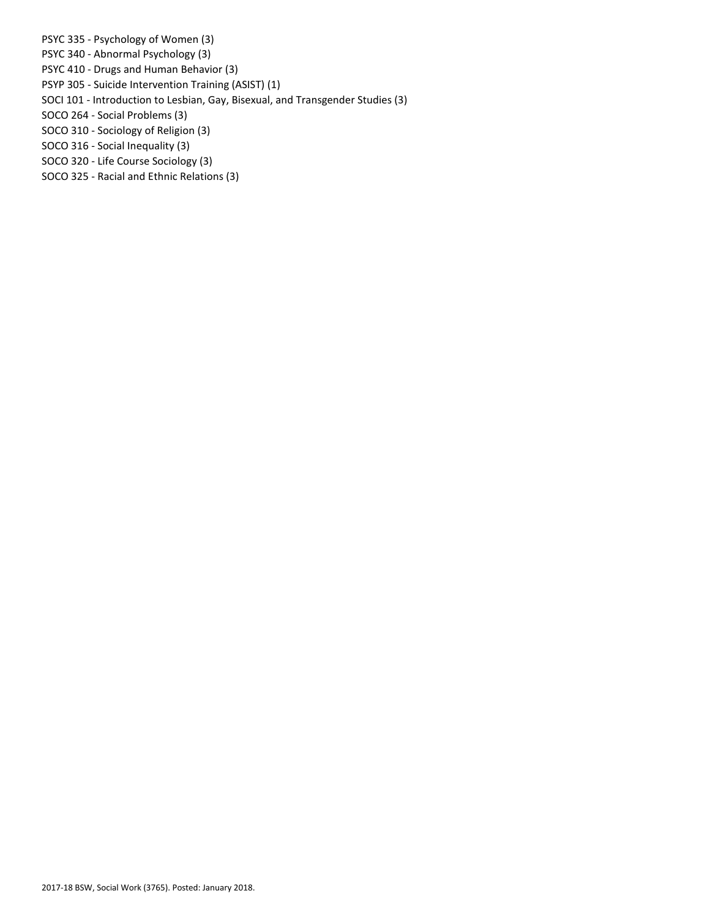PSYC 335 - Psychology of Women (3)

- PSYC 340 Abnormal Psychology (3)
- PSYC 410 Drugs and Human Behavior (3)
- PSYP 305 Suicide Intervention Training (ASIST) (1)
- SOCI 101 Introduction to Lesbian, Gay, Bisexual, and Transgender Studies (3)
- SOCO 264 Social Problems (3)
- SOCO 310 Sociology of Religion (3)
- SOCO 316 Social Inequality (3)
- SOCO 320 Life Course Sociology (3)
- SOCO 325 Racial and Ethnic Relations (3)